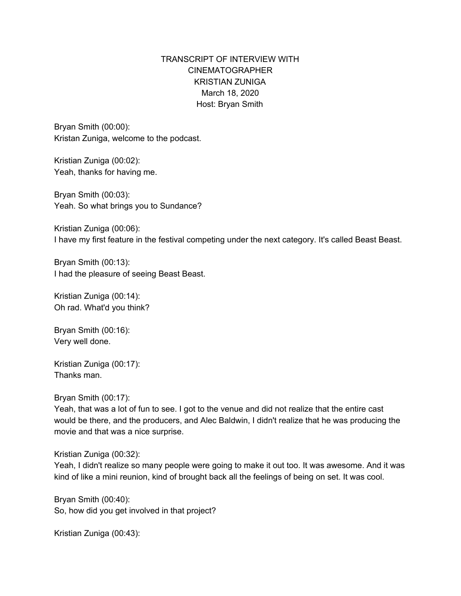# TRANSCRIPT OF INTERVIEW WITH CINEMATOGRAPHER KRISTIAN ZUNIGA March 18, 2020 Host: Bryan Smith

Bryan Smith (00:00): Kristan Zuniga, welcome to the podcast.

Kristian Zuniga (00:02): Yeah, thanks for having me.

Bryan Smith (00:03): Yeah. So what brings you to Sundance?

Kristian Zuniga (00:06): I have my first feature in the festival competing under the next category. It's called Beast Beast.

Bryan Smith (00:13): I had the pleasure of seeing Beast Beast.

Kristian Zuniga (00:14): Oh rad. What'd you think?

Bryan Smith (00:16): Very well done.

Kristian Zuniga (00:17): Thanks man.

Bryan Smith (00:17):

Yeah, that was a lot of fun to see. I got to the venue and did not realize that the entire cast would be there, and the producers, and Alec Baldwin, I didn't realize that he was producing the movie and that was a nice surprise.

Kristian Zuniga (00:32):

Yeah, I didn't realize so many people were going to make it out too. It was awesome. And it was kind of like a mini reunion, kind of brought back all the feelings of being on set. It was cool.

Bryan Smith (00:40): So, how did you get involved in that project?

Kristian Zuniga (00:43):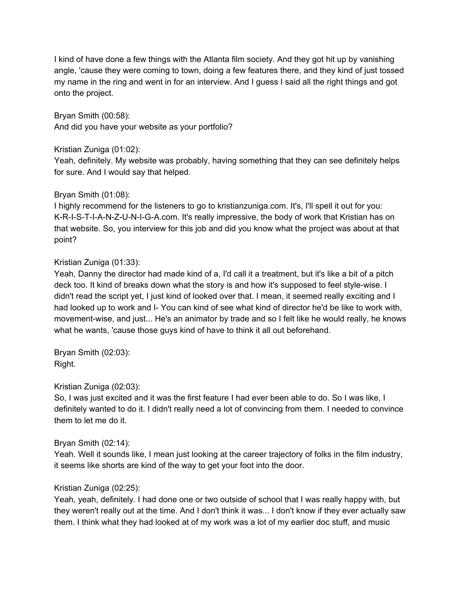I kind of have done a few things with the Atlanta film society. And they got hit up by vanishing angle, 'cause they were coming to town, doing a few features there, and they kind of just tossed my name in the ring and went in for an interview. And I guess I said all the right things and got onto the project.

Bryan Smith (00:58): And did you have your website as your portfolio?

## Kristian Zuniga (01:02):

Yeah, definitely. My website was probably, having something that they can see definitely helps for sure. And I would say that helped.

## Bryan Smith (01:08):

I highly recommend for the listeners to go to kristianzuniga.com. It's, I'll spell it out for you: K-R-I-S-T-I-A-N-Z-U-N-I-G-A.com. It's really impressive, the body of work that Kristian has on that website. So, you interview for this job and did you know what the project was about at that point?

## Kristian Zuniga (01:33):

Yeah, Danny the director had made kind of a, I'd call it a treatment, but it's like a bit of a pitch deck too. It kind of breaks down what the story is and how it's supposed to feel style-wise. I didn't read the script yet, I just kind of looked over that. I mean, it seemed really exciting and I had looked up to work and I- You can kind of see what kind of director he'd be like to work with, movement-wise, and just... He's an animator by trade and so I felt like he would really, he knows what he wants, 'cause those guys kind of have to think it all out beforehand.

Bryan Smith (02:03): Right.

## Kristian Zuniga (02:03):

So, I was just excited and it was the first feature I had ever been able to do. So I was like, I definitely wanted to do it. I didn't really need a lot of convincing from them. I needed to convince them to let me do it.

#### Bryan Smith (02:14):

Yeah. Well it sounds like, I mean just looking at the career trajectory of folks in the film industry, it seems like shorts are kind of the way to get your foot into the door.

## Kristian Zuniga (02:25):

Yeah, yeah, definitely. I had done one or two outside of school that I was really happy with, but they weren't really out at the time. And I don't think it was... I don't know if they ever actually saw them. I think what they had looked at of my work was a lot of my earlier doc stuff, and music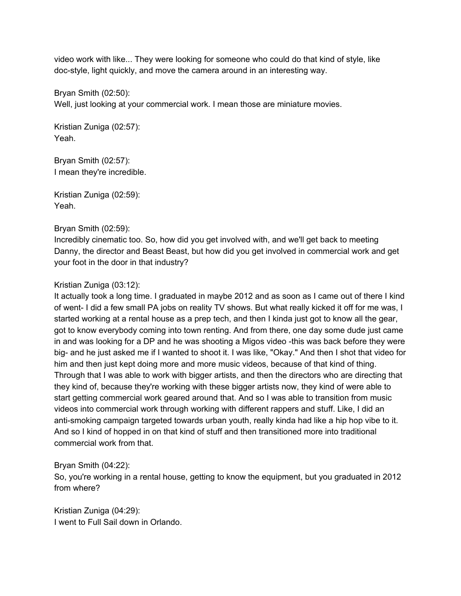video work with like... They were looking for someone who could do that kind of style, like doc-style, light quickly, and move the camera around in an interesting way.

Bryan Smith (02:50): Well, just looking at your commercial work. I mean those are miniature movies.

Kristian Zuniga (02:57): Yeah.

Bryan Smith (02:57): I mean they're incredible.

Kristian Zuniga (02:59): Yeah.

## Bryan Smith (02:59):

Incredibly cinematic too. So, how did you get involved with, and we'll get back to meeting Danny, the director and Beast Beast, but how did you get involved in commercial work and get your foot in the door in that industry?

## Kristian Zuniga (03:12):

It actually took a long time. I graduated in maybe 2012 and as soon as I came out of there I kind of went- I did a few small PA jobs on reality TV shows. But what really kicked it off for me was, I started working at a rental house as a prep tech, and then I kinda just got to know all the gear, got to know everybody coming into town renting. And from there, one day some dude just came in and was looking for a DP and he was shooting a Migos video -this was back before they were big- and he just asked me if I wanted to shoot it. I was like, "Okay." And then I shot that video for him and then just kept doing more and more music videos, because of that kind of thing. Through that I was able to work with bigger artists, and then the directors who are directing that they kind of, because they're working with these bigger artists now, they kind of were able to start getting commercial work geared around that. And so I was able to transition from music videos into commercial work through working with different rappers and stuff. Like, I did an anti-smoking campaign targeted towards urban youth, really kinda had like a hip hop vibe to it. And so I kind of hopped in on that kind of stuff and then transitioned more into traditional commercial work from that.

## Bryan Smith (04:22):

So, you're working in a rental house, getting to know the equipment, but you graduated in 2012 from where?

Kristian Zuniga (04:29): I went to Full Sail down in Orlando.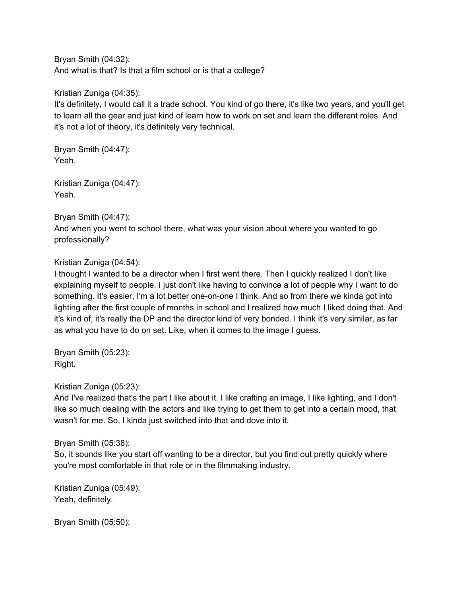Bryan Smith (04:32): And what is that? Is that a film school or is that a college?

Kristian Zuniga (04:35):

It's definitely, I would call it a trade school. You kind of go there, it's like two years, and you'll get to learn all the gear and just kind of learn how to work on set and learn the different roles. And it's not a lot of theory, it's definitely very technical.

Bryan Smith (04:47): Yeah.

Kristian Zuniga (04:47): Yeah.

# Bryan Smith (04:47):

And when you went to school there, what was your vision about where you wanted to go professionally?

# Kristian Zuniga (04:54):

I thought I wanted to be a director when I first went there. Then I quickly realized I don't like explaining myself to people. I just don't like having to convince a lot of people why I want to do something. It's easier, I'm a lot better one-on-one I think. And so from there we kinda got into lighting after the first couple of months in school and I realized how much I liked doing that. And it's kind of, it's really the DP and the director kind of very bonded. I think it's very similar, as far as what you have to do on set. Like, when it comes to the image I guess.

Bryan Smith (05:23): Right.

## Kristian Zuniga (05:23):

And I've realized that's the part I like about it. I like crafting an image, I like lighting, and I don't like so much dealing with the actors and like trying to get them to get into a certain mood, that wasn't for me. So, I kinda just switched into that and dove into it.

## Bryan Smith (05:38):

So, it sounds like you start off wanting to be a director, but you find out pretty quickly where you're most comfortable in that role or in the filmmaking industry.

Kristian Zuniga (05:49): Yeah, definitely.

Bryan Smith (05:50):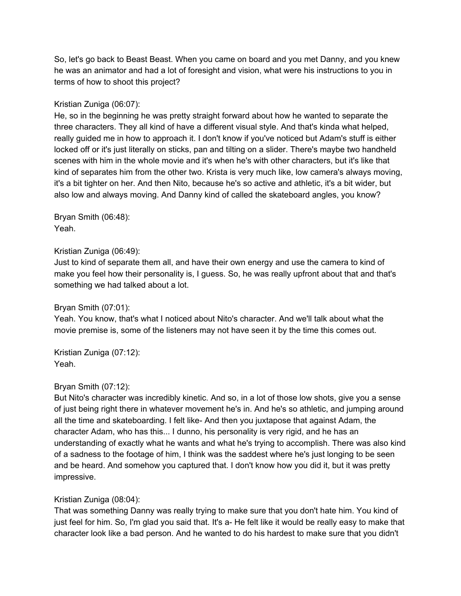So, let's go back to Beast Beast. When you came on board and you met Danny, and you knew he was an animator and had a lot of foresight and vision, what were his instructions to you in terms of how to shoot this project?

### Kristian Zuniga (06:07):

He, so in the beginning he was pretty straight forward about how he wanted to separate the three characters. They all kind of have a different visual style. And that's kinda what helped, really guided me in how to approach it. I don't know if you've noticed but Adam's stuff is either locked off or it's just literally on sticks, pan and tilting on a slider. There's maybe two handheld scenes with him in the whole movie and it's when he's with other characters, but it's like that kind of separates him from the other two. Krista is very much like, low camera's always moving, it's a bit tighter on her. And then Nito, because he's so active and athletic, it's a bit wider, but also low and always moving. And Danny kind of called the skateboard angles, you know?

Bryan Smith (06:48): Yeah.

#### Kristian Zuniga (06:49):

Just to kind of separate them all, and have their own energy and use the camera to kind of make you feel how their personality is, I guess. So, he was really upfront about that and that's something we had talked about a lot.

#### Bryan Smith (07:01):

Yeah. You know, that's what I noticed about Nito's character. And we'll talk about what the movie premise is, some of the listeners may not have seen it by the time this comes out.

Kristian Zuniga (07:12): Yeah.

#### Bryan Smith (07:12):

But Nito's character was incredibly kinetic. And so, in a lot of those low shots, give you a sense of just being right there in whatever movement he's in. And he's so athletic, and jumping around all the time and skateboarding. I felt like- And then you juxtapose that against Adam, the character Adam, who has this... I dunno, his personality is very rigid, and he has an understanding of exactly what he wants and what he's trying to accomplish. There was also kind of a sadness to the footage of him, I think was the saddest where he's just longing to be seen and be heard. And somehow you captured that. I don't know how you did it, but it was pretty impressive.

## Kristian Zuniga (08:04):

That was something Danny was really trying to make sure that you don't hate him. You kind of just feel for him. So, I'm glad you said that. It's a- He felt like it would be really easy to make that character look like a bad person. And he wanted to do his hardest to make sure that you didn't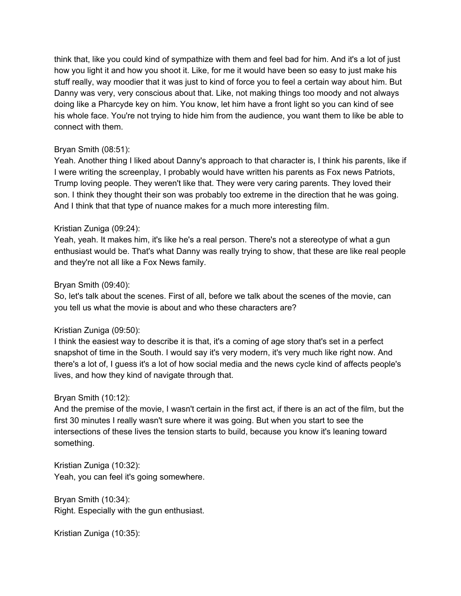think that, like you could kind of sympathize with them and feel bad for him. And it's a lot of just how you light it and how you shoot it. Like, for me it would have been so easy to just make his stuff really, way moodier that it was just to kind of force you to feel a certain way about him. But Danny was very, very conscious about that. Like, not making things too moody and not always doing like a Pharcyde key on him. You know, let him have a front light so you can kind of see his whole face. You're not trying to hide him from the audience, you want them to like be able to connect with them.

### Bryan Smith (08:51):

Yeah. Another thing I liked about Danny's approach to that character is, I think his parents, like if I were writing the screenplay, I probably would have written his parents as Fox news Patriots, Trump loving people. They weren't like that. They were very caring parents. They loved their son. I think they thought their son was probably too extreme in the direction that he was going. And I think that that type of nuance makes for a much more interesting film.

### Kristian Zuniga (09:24):

Yeah, yeah. It makes him, it's like he's a real person. There's not a stereotype of what a gun enthusiast would be. That's what Danny was really trying to show, that these are like real people and they're not all like a Fox News family.

### Bryan Smith (09:40):

So, let's talk about the scenes. First of all, before we talk about the scenes of the movie, can you tell us what the movie is about and who these characters are?

#### Kristian Zuniga (09:50):

I think the easiest way to describe it is that, it's a coming of age story that's set in a perfect snapshot of time in the South. I would say it's very modern, it's very much like right now. And there's a lot of, I guess it's a lot of how social media and the news cycle kind of affects people's lives, and how they kind of navigate through that.

#### Bryan Smith (10:12):

And the premise of the movie, I wasn't certain in the first act, if there is an act of the film, but the first 30 minutes I really wasn't sure where it was going. But when you start to see the intersections of these lives the tension starts to build, because you know it's leaning toward something.

Kristian Zuniga (10:32): Yeah, you can feel it's going somewhere.

Bryan Smith (10:34): Right. Especially with the gun enthusiast.

Kristian Zuniga (10:35):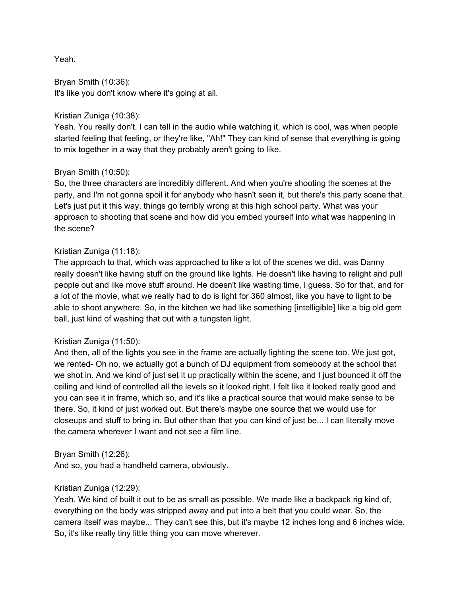Yeah.

Bryan Smith (10:36): It's like you don't know where it's going at all.

### Kristian Zuniga (10:38):

Yeah. You really don't. I can tell in the audio while watching it, which is cool, was when people started feeling that feeling, or they're like, "Ah!" They can kind of sense that everything is going to mix together in a way that they probably aren't going to like.

## Bryan Smith (10:50):

So, the three characters are incredibly different. And when you're shooting the scenes at the party, and I'm not gonna spoil it for anybody who hasn't seen it, but there's this party scene that. Let's just put it this way, things go terribly wrong at this high school party. What was your approach to shooting that scene and how did you embed yourself into what was happening in the scene?

### Kristian Zuniga (11:18):

The approach to that, which was approached to like a lot of the scenes we did, was Danny really doesn't like having stuff on the ground like lights. He doesn't like having to relight and pull people out and like move stuff around. He doesn't like wasting time, I guess. So for that, and for a lot of the movie, what we really had to do is light for 360 almost, like you have to light to be able to shoot anywhere. So, in the kitchen we had like something [intelligible] like a big old gem ball, just kind of washing that out with a tungsten light.

#### Kristian Zuniga (11:50):

And then, all of the lights you see in the frame are actually lighting the scene too. We just got, we rented- Oh no, we actually got a bunch of DJ equipment from somebody at the school that we shot in. And we kind of just set it up practically within the scene, and I just bounced it off the ceiling and kind of controlled all the levels so it looked right. I felt like it looked really good and you can see it in frame, which so, and it's like a practical source that would make sense to be there. So, it kind of just worked out. But there's maybe one source that we would use for closeups and stuff to bring in. But other than that you can kind of just be... I can literally move the camera wherever I want and not see a film line.

#### Bryan Smith (12:26):

And so, you had a handheld camera, obviously.

## Kristian Zuniga (12:29):

Yeah. We kind of built it out to be as small as possible. We made like a backpack rig kind of, everything on the body was stripped away and put into a belt that you could wear. So, the camera itself was maybe... They can't see this, but it's maybe 12 inches long and 6 inches wide. So, it's like really tiny little thing you can move wherever.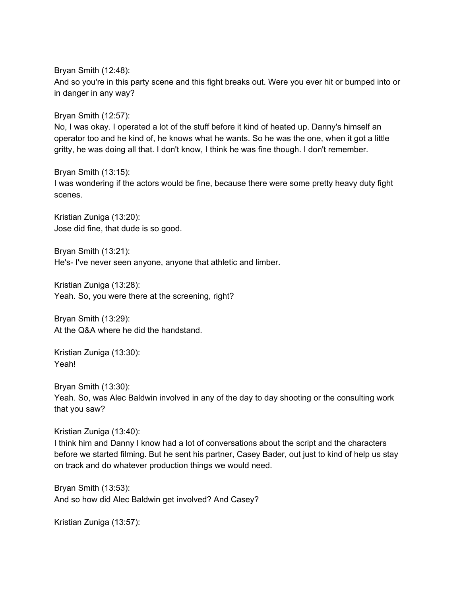Bryan Smith (12:48):

And so you're in this party scene and this fight breaks out. Were you ever hit or bumped into or in danger in any way?

Bryan Smith (12:57):

No, I was okay. I operated a lot of the stuff before it kind of heated up. Danny's himself an operator too and he kind of, he knows what he wants. So he was the one, when it got a little gritty, he was doing all that. I don't know, I think he was fine though. I don't remember.

Bryan Smith (13:15): I was wondering if the actors would be fine, because there were some pretty heavy duty fight scenes.

Kristian Zuniga (13:20): Jose did fine, that dude is so good.

Bryan Smith (13:21): He's- I've never seen anyone, anyone that athletic and limber.

Kristian Zuniga (13:28): Yeah. So, you were there at the screening, right?

Bryan Smith (13:29): At the Q&A where he did the handstand.

Kristian Zuniga (13:30): Yeah!

Bryan Smith (13:30): Yeah. So, was Alec Baldwin involved in any of the day to day shooting or the consulting work that you saw?

Kristian Zuniga (13:40):

I think him and Danny I know had a lot of conversations about the script and the characters before we started filming. But he sent his partner, Casey Bader, out just to kind of help us stay on track and do whatever production things we would need.

Bryan Smith (13:53): And so how did Alec Baldwin get involved? And Casey?

Kristian Zuniga (13:57):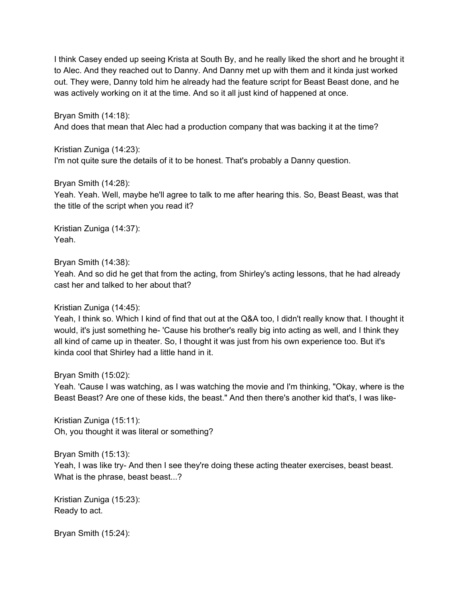I think Casey ended up seeing Krista at South By, and he really liked the short and he brought it to Alec. And they reached out to Danny. And Danny met up with them and it kinda just worked out. They were, Danny told him he already had the feature script for Beast Beast done, and he was actively working on it at the time. And so it all just kind of happened at once.

Bryan Smith (14:18):

And does that mean that Alec had a production company that was backing it at the time?

Kristian Zuniga (14:23):

I'm not quite sure the details of it to be honest. That's probably a Danny question.

Bryan Smith (14:28):

Yeah. Yeah. Well, maybe he'll agree to talk to me after hearing this. So, Beast Beast, was that the title of the script when you read it?

Kristian Zuniga (14:37): Yeah.

Bryan Smith (14:38):

Yeah. And so did he get that from the acting, from Shirley's acting lessons, that he had already cast her and talked to her about that?

#### Kristian Zuniga (14:45):

Yeah, I think so. Which I kind of find that out at the Q&A too, I didn't really know that. I thought it would, it's just something he- 'Cause his brother's really big into acting as well, and I think they all kind of came up in theater. So, I thought it was just from his own experience too. But it's kinda cool that Shirley had a little hand in it.

Bryan Smith (15:02):

Yeah. 'Cause I was watching, as I was watching the movie and I'm thinking, "Okay, where is the Beast Beast? Are one of these kids, the beast." And then there's another kid that's, I was like-

Kristian Zuniga (15:11): Oh, you thought it was literal or something?

Bryan Smith (15:13):

Yeah, I was like try- And then I see they're doing these acting theater exercises, beast beast. What is the phrase, beast beast...?

Kristian Zuniga (15:23): Ready to act.

Bryan Smith (15:24):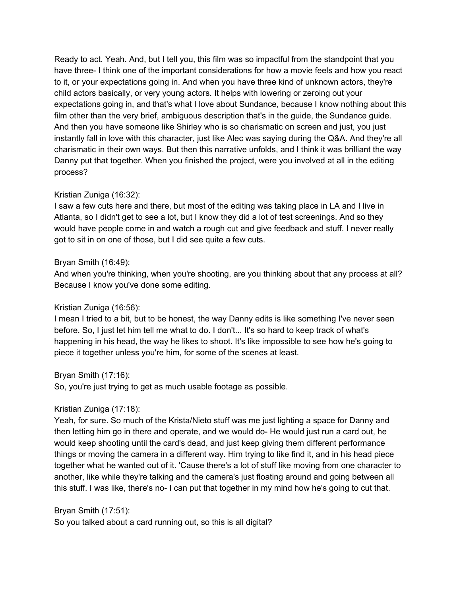Ready to act. Yeah. And, but I tell you, this film was so impactful from the standpoint that you have three- I think one of the important considerations for how a movie feels and how you react to it, or your expectations going in. And when you have three kind of unknown actors, they're child actors basically, or very young actors. It helps with lowering or zeroing out your expectations going in, and that's what I love about Sundance, because I know nothing about this film other than the very brief, ambiguous description that's in the guide, the Sundance guide. And then you have someone like Shirley who is so charismatic on screen and just, you just instantly fall in love with this character, just like Alec was saying during the Q&A. And they're all charismatic in their own ways. But then this narrative unfolds, and I think it was brilliant the way Danny put that together. When you finished the project, were you involved at all in the editing process?

## Kristian Zuniga (16:32):

I saw a few cuts here and there, but most of the editing was taking place in LA and I live in Atlanta, so I didn't get to see a lot, but I know they did a lot of test screenings. And so they would have people come in and watch a rough cut and give feedback and stuff. I never really got to sit in on one of those, but I did see quite a few cuts.

#### Bryan Smith (16:49):

And when you're thinking, when you're shooting, are you thinking about that any process at all? Because I know you've done some editing.

## Kristian Zuniga (16:56):

I mean I tried to a bit, but to be honest, the way Danny edits is like something I've never seen before. So, I just let him tell me what to do. I don't... It's so hard to keep track of what's happening in his head, the way he likes to shoot. It's like impossible to see how he's going to piece it together unless you're him, for some of the scenes at least.

#### Bryan Smith (17:16):

So, you're just trying to get as much usable footage as possible.

## Kristian Zuniga (17:18):

Yeah, for sure. So much of the Krista/Nieto stuff was me just lighting a space for Danny and then letting him go in there and operate, and we would do- He would just run a card out, he would keep shooting until the card's dead, and just keep giving them different performance things or moving the camera in a different way. Him trying to like find it, and in his head piece together what he wanted out of it. 'Cause there's a lot of stuff like moving from one character to another, like while they're talking and the camera's just floating around and going between all this stuff. I was like, there's no- I can put that together in my mind how he's going to cut that.

## Bryan Smith (17:51):

So you talked about a card running out, so this is all digital?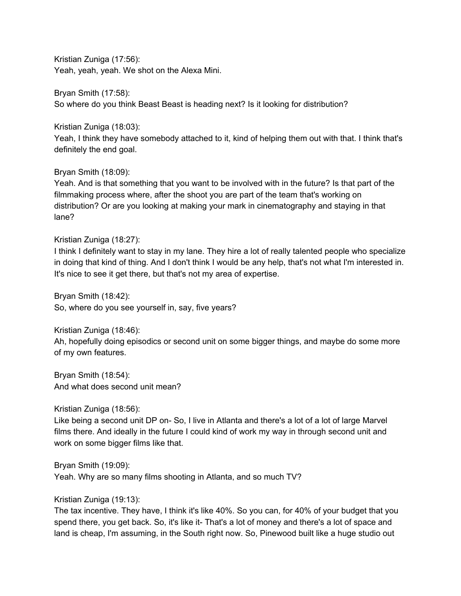Kristian Zuniga (17:56): Yeah, yeah, yeah. We shot on the Alexa Mini.

Bryan Smith (17:58): So where do you think Beast Beast is heading next? Is it looking for distribution?

Kristian Zuniga (18:03):

Yeah, I think they have somebody attached to it, kind of helping them out with that. I think that's definitely the end goal.

Bryan Smith (18:09):

Yeah. And is that something that you want to be involved with in the future? Is that part of the filmmaking process where, after the shoot you are part of the team that's working on distribution? Or are you looking at making your mark in cinematography and staying in that lane?

Kristian Zuniga (18:27):

I think I definitely want to stay in my lane. They hire a lot of really talented people who specialize in doing that kind of thing. And I don't think I would be any help, that's not what I'm interested in. It's nice to see it get there, but that's not my area of expertise.

Bryan Smith (18:42): So, where do you see yourself in, say, five years?

Kristian Zuniga (18:46):

Ah, hopefully doing episodics or second unit on some bigger things, and maybe do some more of my own features.

Bryan Smith (18:54): And what does second unit mean?

Kristian Zuniga (18:56):

Like being a second unit DP on- So, I live in Atlanta and there's a lot of a lot of large Marvel films there. And ideally in the future I could kind of work my way in through second unit and work on some bigger films like that.

Bryan Smith (19:09):

Yeah. Why are so many films shooting in Atlanta, and so much TV?

Kristian Zuniga (19:13):

The tax incentive. They have, I think it's like 40%. So you can, for 40% of your budget that you spend there, you get back. So, it's like it- That's a lot of money and there's a lot of space and land is cheap, I'm assuming, in the South right now. So, Pinewood built like a huge studio out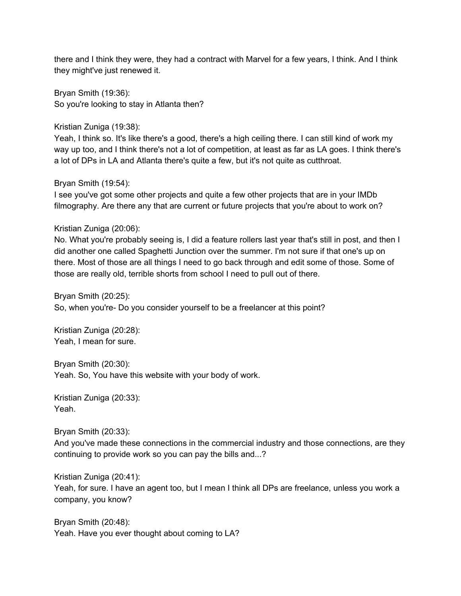there and I think they were, they had a contract with Marvel for a few years, I think. And I think they might've just renewed it.

Bryan Smith (19:36): So you're looking to stay in Atlanta then?

Kristian Zuniga (19:38):

Yeah, I think so. It's like there's a good, there's a high ceiling there. I can still kind of work my way up too, and I think there's not a lot of competition, at least as far as LA goes. I think there's a lot of DPs in LA and Atlanta there's quite a few, but it's not quite as cutthroat.

Bryan Smith (19:54):

I see you've got some other projects and quite a few other projects that are in your IMDb filmography. Are there any that are current or future projects that you're about to work on?

Kristian Zuniga (20:06):

No. What you're probably seeing is, I did a feature rollers last year that's still in post, and then I did another one called Spaghetti Junction over the summer. I'm not sure if that one's up on there. Most of those are all things I need to go back through and edit some of those. Some of those are really old, terrible shorts from school I need to pull out of there.

Bryan Smith (20:25): So, when you're- Do you consider yourself to be a freelancer at this point?

Kristian Zuniga (20:28): Yeah, I mean for sure.

Bryan Smith (20:30): Yeah. So, You have this website with your body of work.

Kristian Zuniga (20:33): Yeah.

Bryan Smith (20:33):

And you've made these connections in the commercial industry and those connections, are they continuing to provide work so you can pay the bills and...?

Kristian Zuniga (20:41):

Yeah, for sure. I have an agent too, but I mean I think all DPs are freelance, unless you work a company, you know?

Bryan Smith (20:48): Yeah. Have you ever thought about coming to LA?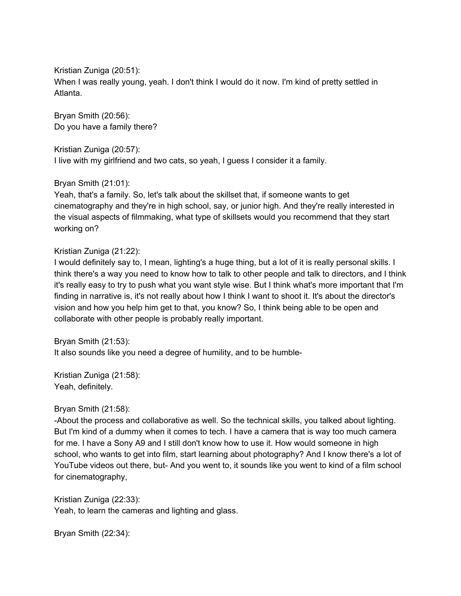Kristian Zuniga (20:51):

When I was really young, yeah. I don't think I would do it now. I'm kind of pretty settled in Atlanta.

Bryan Smith (20:56): Do you have a family there?

Kristian Zuniga (20:57):

I live with my girlfriend and two cats, so yeah, I guess I consider it a family.

Bryan Smith (21:01):

Yeah, that's a family. So, let's talk about the skillset that, if someone wants to get cinematography and they're in high school, say, or junior high. And they're really interested in the visual aspects of filmmaking, what type of skillsets would you recommend that they start working on?

Kristian Zuniga (21:22):

I would definitely say to, I mean, lighting's a huge thing, but a lot of it is really personal skills. I think there's a way you need to know how to talk to other people and talk to directors, and I think it's really easy to try to push what you want style wise. But I think what's more important that I'm finding in narrative is, it's not really about how I think I want to shoot it. It's about the director's vision and how you help him get to that, you know? So, I think being able to be open and collaborate with other people is probably really important.

Bryan Smith (21:53):

It also sounds like you need a degree of humility, and to be humble-

Kristian Zuniga (21:58): Yeah, definitely.

Bryan Smith (21:58):

-About the process and collaborative as well. So the technical skills, you talked about lighting. But I'm kind of a dummy when it comes to tech. I have a camera that is way too much camera for me. I have a Sony A9 and I still don't know how to use it. How would someone in high school, who wants to get into film, start learning about photography? And I know there's a lot of YouTube videos out there, but- And you went to, it sounds like you went to kind of a film school for cinematography,

Kristian Zuniga (22:33): Yeah, to learn the cameras and lighting and glass.

Bryan Smith (22:34):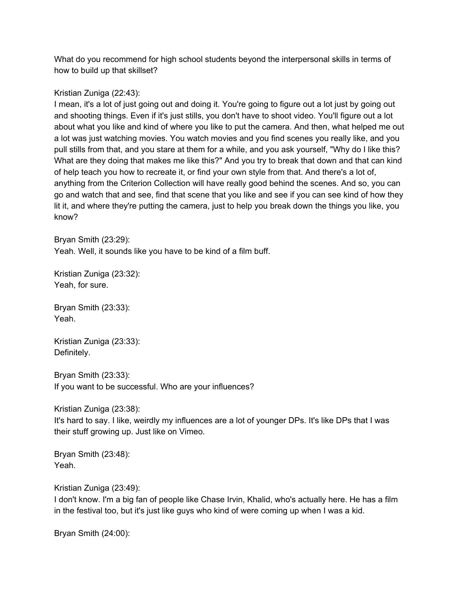What do you recommend for high school students beyond the interpersonal skills in terms of how to build up that skillset?

## Kristian Zuniga (22:43):

I mean, it's a lot of just going out and doing it. You're going to figure out a lot just by going out and shooting things. Even if it's just stills, you don't have to shoot video. You'll figure out a lot about what you like and kind of where you like to put the camera. And then, what helped me out a lot was just watching movies. You watch movies and you find scenes you really like, and you pull stills from that, and you stare at them for a while, and you ask yourself, "Why do I like this? What are they doing that makes me like this?" And you try to break that down and that can kind of help teach you how to recreate it, or find your own style from that. And there's a lot of, anything from the Criterion Collection will have really good behind the scenes. And so, you can go and watch that and see, find that scene that you like and see if you can see kind of how they lit it, and where they're putting the camera, just to help you break down the things you like, you know?

Bryan Smith (23:29): Yeah. Well, it sounds like you have to be kind of a film buff.

Kristian Zuniga (23:32): Yeah, for sure.

Bryan Smith (23:33): Yeah.

Kristian Zuniga (23:33): Definitely.

Bryan Smith (23:33): If you want to be successful. Who are your influences?

Kristian Zuniga (23:38): It's hard to say. I like, weirdly my influences are a lot of younger DPs. It's like DPs that I was their stuff growing up. Just like on Vimeo.

Bryan Smith (23:48): Yeah.

Kristian Zuniga (23:49):

I don't know. I'm a big fan of people like Chase Irvin, Khalid, who's actually here. He has a film in the festival too, but it's just like guys who kind of were coming up when I was a kid.

Bryan Smith (24:00):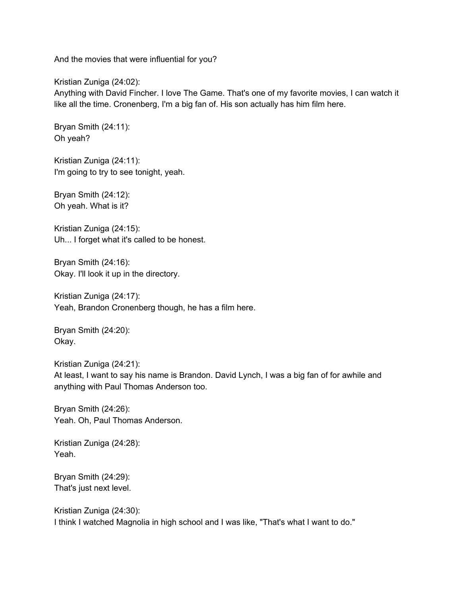And the movies that were influential for you?

Kristian Zuniga (24:02):

Anything with David Fincher. I love The Game. That's one of my favorite movies, I can watch it like all the time. Cronenberg, I'm a big fan of. His son actually has him film here.

Bryan Smith (24:11): Oh yeah?

Kristian Zuniga (24:11): I'm going to try to see tonight, yeah.

Bryan Smith (24:12): Oh yeah. What is it?

Kristian Zuniga (24:15): Uh... I forget what it's called to be honest.

Bryan Smith (24:16): Okay. I'll look it up in the directory.

Kristian Zuniga (24:17): Yeah, Brandon Cronenberg though, he has a film here.

Bryan Smith (24:20): Okay.

Kristian Zuniga (24:21): At least, I want to say his name is Brandon. David Lynch, I was a big fan of for awhile and anything with Paul Thomas Anderson too.

Bryan Smith (24:26): Yeah. Oh, Paul Thomas Anderson.

Kristian Zuniga (24:28): Yeah.

Bryan Smith (24:29): That's just next level.

Kristian Zuniga (24:30): I think I watched Magnolia in high school and I was like, "That's what I want to do."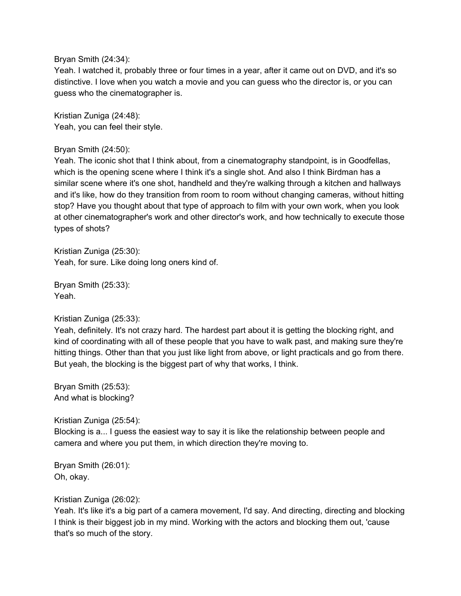Bryan Smith (24:34):

Yeah. I watched it, probably three or four times in a year, after it came out on DVD, and it's so distinctive. I love when you watch a movie and you can guess who the director is, or you can guess who the cinematographer is.

Kristian Zuniga (24:48): Yeah, you can feel their style.

#### Bryan Smith (24:50):

Yeah. The iconic shot that I think about, from a cinematography standpoint, is in Goodfellas, which is the opening scene where I think it's a single shot. And also I think Birdman has a similar scene where it's one shot, handheld and they're walking through a kitchen and hallways and it's like, how do they transition from room to room without changing cameras, without hitting stop? Have you thought about that type of approach to film with your own work, when you look at other cinematographer's work and other director's work, and how technically to execute those types of shots?

Kristian Zuniga (25:30): Yeah, for sure. Like doing long oners kind of.

Bryan Smith (25:33): Yeah.

Kristian Zuniga (25:33):

Yeah, definitely. It's not crazy hard. The hardest part about it is getting the blocking right, and kind of coordinating with all of these people that you have to walk past, and making sure they're hitting things. Other than that you just like light from above, or light practicals and go from there. But yeah, the blocking is the biggest part of why that works, I think.

Bryan Smith (25:53): And what is blocking?

Kristian Zuniga (25:54):

Blocking is a... I guess the easiest way to say it is like the relationship between people and camera and where you put them, in which direction they're moving to.

Bryan Smith (26:01): Oh, okay.

Kristian Zuniga (26:02):

Yeah. It's like it's a big part of a camera movement, I'd say. And directing, directing and blocking I think is their biggest job in my mind. Working with the actors and blocking them out, 'cause that's so much of the story.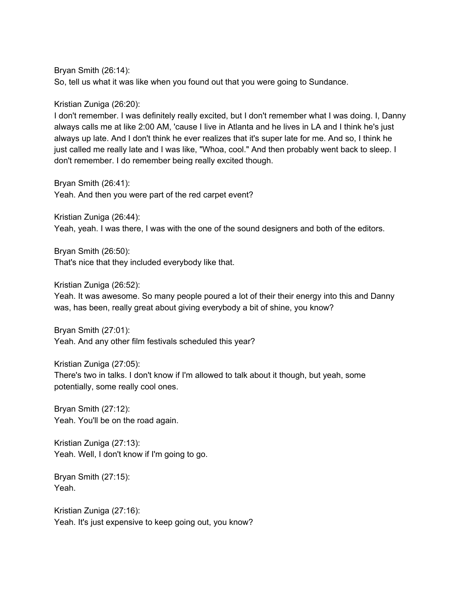Bryan Smith (26:14):

So, tell us what it was like when you found out that you were going to Sundance.

Kristian Zuniga (26:20):

I don't remember. I was definitely really excited, but I don't remember what I was doing. I, Danny always calls me at like 2:00 AM, 'cause I live in Atlanta and he lives in LA and I think he's just always up late. And I don't think he ever realizes that it's super late for me. And so, I think he just called me really late and I was like, "Whoa, cool." And then probably went back to sleep. I don't remember. I do remember being really excited though.

Bryan Smith (26:41):

Yeah. And then you were part of the red carpet event?

Kristian Zuniga (26:44):

Yeah, yeah. I was there, I was with the one of the sound designers and both of the editors.

Bryan Smith (26:50): That's nice that they included everybody like that.

Kristian Zuniga (26:52):

Yeah. It was awesome. So many people poured a lot of their their energy into this and Danny was, has been, really great about giving everybody a bit of shine, you know?

Bryan Smith (27:01): Yeah. And any other film festivals scheduled this year?

Kristian Zuniga (27:05): There's two in talks. I don't know if I'm allowed to talk about it though, but yeah, some potentially, some really cool ones.

Bryan Smith (27:12): Yeah. You'll be on the road again.

Kristian Zuniga (27:13): Yeah. Well, I don't know if I'm going to go.

Bryan Smith (27:15): Yeah.

Kristian Zuniga (27:16): Yeah. It's just expensive to keep going out, you know?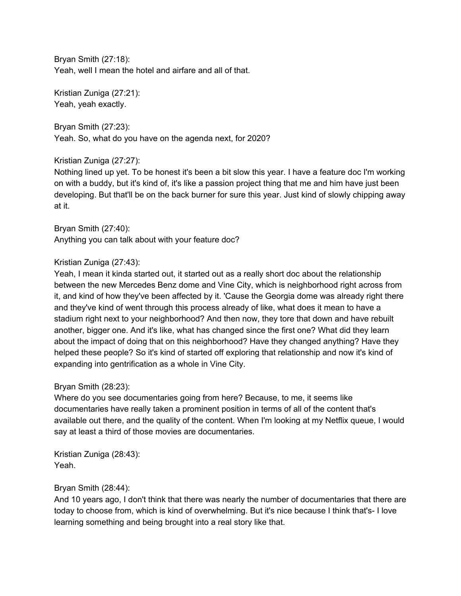Bryan Smith (27:18): Yeah, well I mean the hotel and airfare and all of that.

Kristian Zuniga (27:21): Yeah, yeah exactly.

Bryan Smith (27:23): Yeah. So, what do you have on the agenda next, for 2020?

# Kristian Zuniga (27:27):

Nothing lined up yet. To be honest it's been a bit slow this year. I have a feature doc I'm working on with a buddy, but it's kind of, it's like a passion project thing that me and him have just been developing. But that'll be on the back burner for sure this year. Just kind of slowly chipping away at it.

Bryan Smith (27:40): Anything you can talk about with your feature doc?

# Kristian Zuniga (27:43):

Yeah, I mean it kinda started out, it started out as a really short doc about the relationship between the new Mercedes Benz dome and Vine City, which is neighborhood right across from it, and kind of how they've been affected by it. 'Cause the Georgia dome was already right there and they've kind of went through this process already of like, what does it mean to have a stadium right next to your neighborhood? And then now, they tore that down and have rebuilt another, bigger one. And it's like, what has changed since the first one? What did they learn about the impact of doing that on this neighborhood? Have they changed anything? Have they helped these people? So it's kind of started off exploring that relationship and now it's kind of expanding into gentrification as a whole in Vine City.

## Bryan Smith (28:23):

Where do you see documentaries going from here? Because, to me, it seems like documentaries have really taken a prominent position in terms of all of the content that's available out there, and the quality of the content. When I'm looking at my Netflix queue, I would say at least a third of those movies are documentaries.

Kristian Zuniga (28:43): Yeah.

## Bryan Smith (28:44):

And 10 years ago, I don't think that there was nearly the number of documentaries that there are today to choose from, which is kind of overwhelming. But it's nice because I think that's- I love learning something and being brought into a real story like that.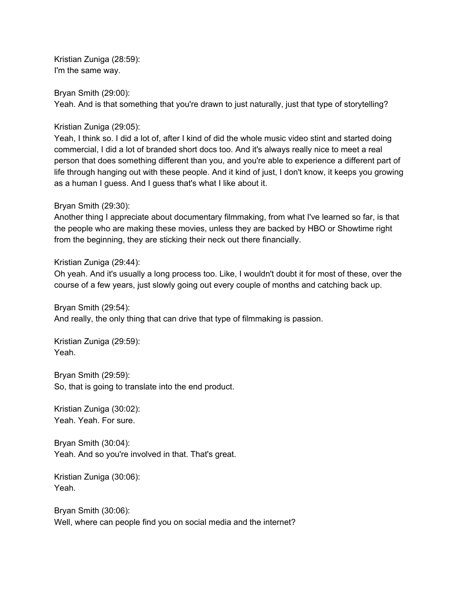Kristian Zuniga (28:59): I'm the same way.

Bryan Smith (29:00): Yeah. And is that something that you're drawn to just naturally, just that type of storytelling?

Kristian Zuniga (29:05):

Yeah, I think so. I did a lot of, after I kind of did the whole music video stint and started doing commercial, I did a lot of branded short docs too. And it's always really nice to meet a real person that does something different than you, and you're able to experience a different part of life through hanging out with these people. And it kind of just, I don't know, it keeps you growing as a human I guess. And I guess that's what I like about it.

### Bryan Smith (29:30):

Another thing I appreciate about documentary filmmaking, from what I've learned so far, is that the people who are making these movies, unless they are backed by HBO or Showtime right from the beginning, they are sticking their neck out there financially.

### Kristian Zuniga (29:44):

Oh yeah. And it's usually a long process too. Like, I wouldn't doubt it for most of these, over the course of a few years, just slowly going out every couple of months and catching back up.

Bryan Smith (29:54):

And really, the only thing that can drive that type of filmmaking is passion.

Kristian Zuniga (29:59): Yeah.

Bryan Smith (29:59): So, that is going to translate into the end product.

Kristian Zuniga (30:02): Yeah. Yeah. For sure.

Bryan Smith (30:04): Yeah. And so you're involved in that. That's great.

Kristian Zuniga (30:06): Yeah.

Bryan Smith (30:06): Well, where can people find you on social media and the internet?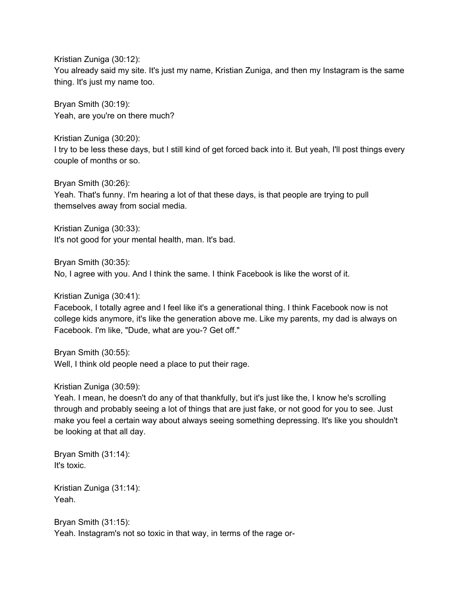Kristian Zuniga (30:12): You already said my site. It's just my name, Kristian Zuniga, and then my Instagram is the same thing. It's just my name too.

Bryan Smith (30:19): Yeah, are you're on there much?

Kristian Zuniga (30:20): I try to be less these days, but I still kind of get forced back into it. But yeah, I'll post things every couple of months or so.

Bryan Smith (30:26): Yeah. That's funny. I'm hearing a lot of that these days, is that people are trying to pull themselves away from social media.

Kristian Zuniga (30:33): It's not good for your mental health, man. It's bad.

Bryan Smith (30:35):

No, I agree with you. And I think the same. I think Facebook is like the worst of it.

Kristian Zuniga (30:41):

Facebook, I totally agree and I feel like it's a generational thing. I think Facebook now is not college kids anymore, it's like the generation above me. Like my parents, my dad is always on Facebook. I'm like, "Dude, what are you-? Get off."

Bryan Smith (30:55):

Well, I think old people need a place to put their rage.

Kristian Zuniga (30:59):

Yeah. I mean, he doesn't do any of that thankfully, but it's just like the, I know he's scrolling through and probably seeing a lot of things that are just fake, or not good for you to see. Just make you feel a certain way about always seeing something depressing. It's like you shouldn't be looking at that all day.

Bryan Smith (31:14): It's toxic.

Kristian Zuniga (31:14): Yeah.

Bryan Smith (31:15): Yeah. Instagram's not so toxic in that way, in terms of the rage or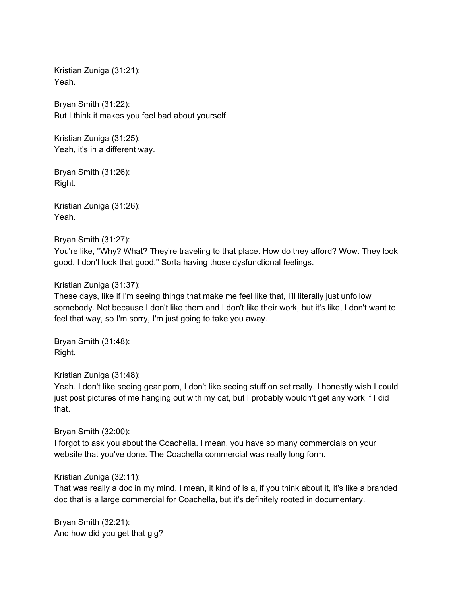Kristian Zuniga (31:21): Yeah.

Bryan Smith (31:22): But I think it makes you feel bad about yourself.

Kristian Zuniga (31:25): Yeah, it's in a different way.

Bryan Smith (31:26): Right.

Kristian Zuniga (31:26): Yeah.

Bryan Smith (31:27):

You're like, "Why? What? They're traveling to that place. How do they afford? Wow. They look good. I don't look that good." Sorta having those dysfunctional feelings.

### Kristian Zuniga (31:37):

These days, like if I'm seeing things that make me feel like that, I'll literally just unfollow somebody. Not because I don't like them and I don't like their work, but it's like, I don't want to feel that way, so I'm sorry, I'm just going to take you away.

Bryan Smith (31:48): Right.

Kristian Zuniga (31:48):

Yeah. I don't like seeing gear porn, I don't like seeing stuff on set really. I honestly wish I could just post pictures of me hanging out with my cat, but I probably wouldn't get any work if I did that.

Bryan Smith (32:00):

I forgot to ask you about the Coachella. I mean, you have so many commercials on your website that you've done. The Coachella commercial was really long form.

## Kristian Zuniga (32:11):

That was really a doc in my mind. I mean, it kind of is a, if you think about it, it's like a branded doc that is a large commercial for Coachella, but it's definitely rooted in documentary.

Bryan Smith (32:21): And how did you get that gig?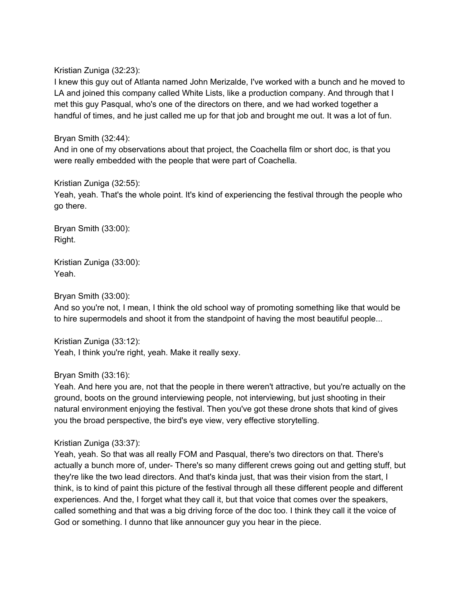Kristian Zuniga (32:23):

I knew this guy out of Atlanta named John Merizalde, I've worked with a bunch and he moved to LA and joined this company called White Lists, like a production company. And through that I met this guy Pasqual, who's one of the directors on there, and we had worked together a handful of times, and he just called me up for that job and brought me out. It was a lot of fun.

### Bryan Smith (32:44):

And in one of my observations about that project, the Coachella film or short doc, is that you were really embedded with the people that were part of Coachella.

### Kristian Zuniga (32:55):

Yeah, yeah. That's the whole point. It's kind of experiencing the festival through the people who go there.

Bryan Smith (33:00): Right.

Kristian Zuniga (33:00): Yeah.

Bryan Smith (33:00):

And so you're not, I mean, I think the old school way of promoting something like that would be to hire supermodels and shoot it from the standpoint of having the most beautiful people...

Kristian Zuniga (33:12): Yeah, I think you're right, yeah. Make it really sexy.

## Bryan Smith (33:16):

Yeah. And here you are, not that the people in there weren't attractive, but you're actually on the ground, boots on the ground interviewing people, not interviewing, but just shooting in their natural environment enjoying the festival. Then you've got these drone shots that kind of gives you the broad perspective, the bird's eye view, very effective storytelling.

## Kristian Zuniga (33:37):

Yeah, yeah. So that was all really FOM and Pasqual, there's two directors on that. There's actually a bunch more of, under- There's so many different crews going out and getting stuff, but they're like the two lead directors. And that's kinda just, that was their vision from the start, I think, is to kind of paint this picture of the festival through all these different people and different experiences. And the, I forget what they call it, but that voice that comes over the speakers, called something and that was a big driving force of the doc too. I think they call it the voice of God or something. I dunno that like announcer guy you hear in the piece.